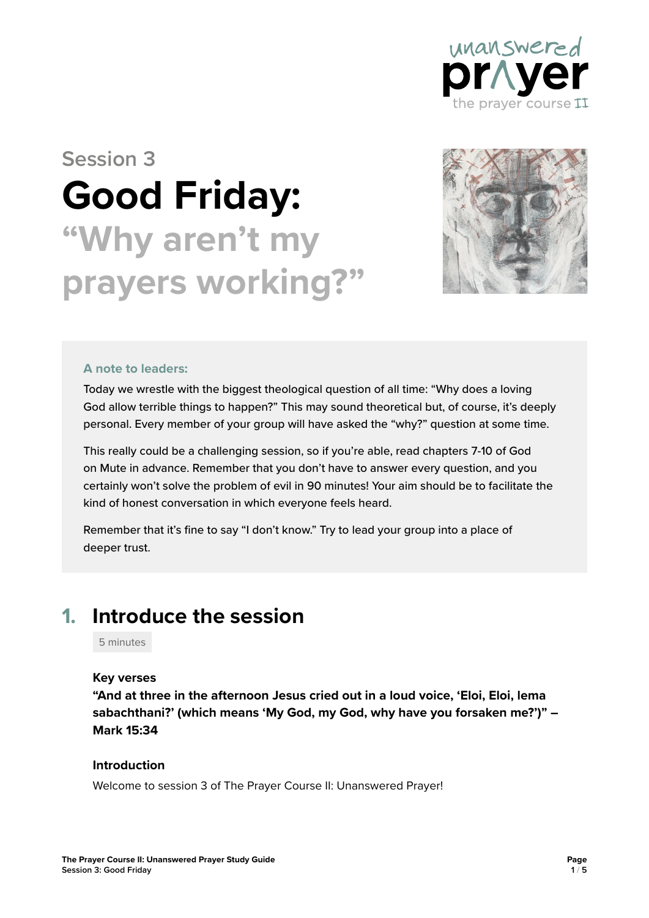

# **Session 3 Good Friday: "Why aren't my prayers working?"**



#### **A note to leaders:**

Today we wrestle with the biggest theological question of all time: "Why does a loving God allow terrible things to happen?" This may sound theoretical but, of course, it's deeply personal. Every member of your group will have asked the "why?" question at some time.

This really could be a challenging session, so if you're able, read chapters 7-10 of God on Mute in advance. Remember that you don't have to answer every question, and you certainly won't solve the problem of evil in 90 minutes! Your aim should be to facilitate the kind of honest conversation in which everyone feels heard.

Remember that it's fine to say "I don't know." Try to lead your group into a place of deeper trust.

### **1. Introduce the session**

5 minutes

#### **Key verses**

**"And at three in the afternoon Jesus cried out in a loud voice, 'Eloi, Eloi, lema sabachthani?' (which means 'My God, my God, why have you forsaken me?')" – Mark 15:34**

#### **Introduction**

Welcome to session 3 of The Prayer Course II: Unanswered Prayer!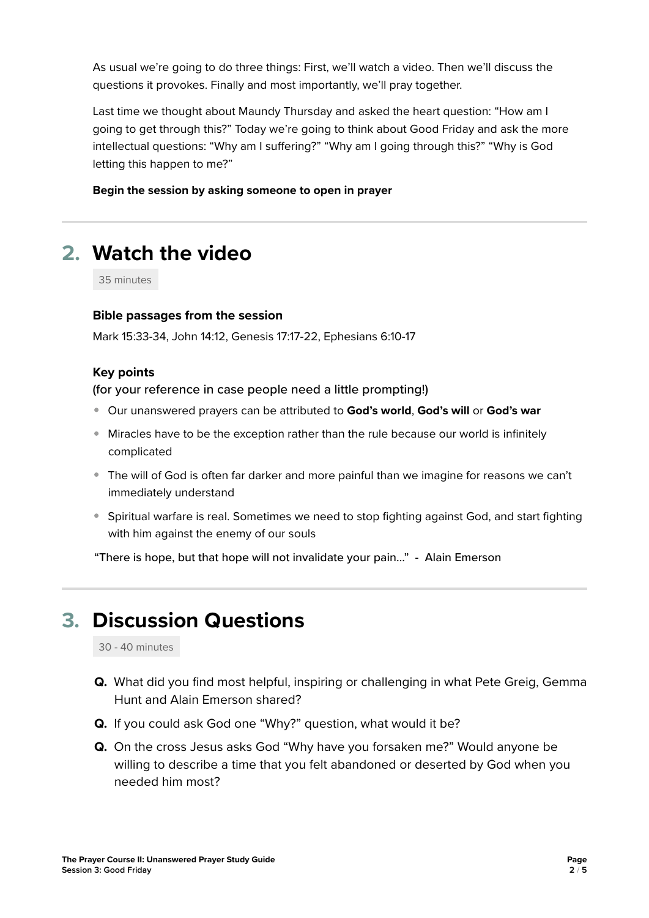As usual we're going to do three things: First, we'll watch a video. Then we'll discuss the questions it provokes. Finally and most importantly, we'll pray together.

Last time we thought about Maundy Thursday and asked the heart question: "How am I going to get through this?" Today we're going to think about Good Friday and ask the more intellectual questions: "Why am I suffering?" "Why am I going through this?" "Why is God letting this happen to me?"

**Begin the session by asking someone to open in prayer**

# **2. Watch the video**

35 minutes

#### **Bible passages from the session**

Mark 15:33-34, John 14:12, Genesis 17:17-22, Ephesians 6:10-17

#### **Key points**

(for your reference in case people need a little prompting!)

- Our unanswered prayers can be attributed to **God's world**, **God's will** or **God's war**
- Miracles have to be the exception rather than the rule because our world is infinitely complicated
- The will of God is often far darker and more painful than we imagine for reasons we can't immediately understand
- Spiritual warfare is real. Sometimes we need to stop fighting against God, and start fighting with him against the enemy of our souls

"There is hope, but that hope will not invalidate your pain…" - Alain Emerson

# **3. Discussion Questions**

30 - 40 minutes

- **Q.** What did you find most helpful, inspiring or challenging in what Pete Greig, Gemma Hunt and Alain Emerson shared?
- **Q.** If you could ask God one "Why?" question, what would it be?
- **Q.** On the cross Jesus asks God "Why have you forsaken me?" Would anyone be willing to describe a time that you felt abandoned or deserted by God when you needed him most?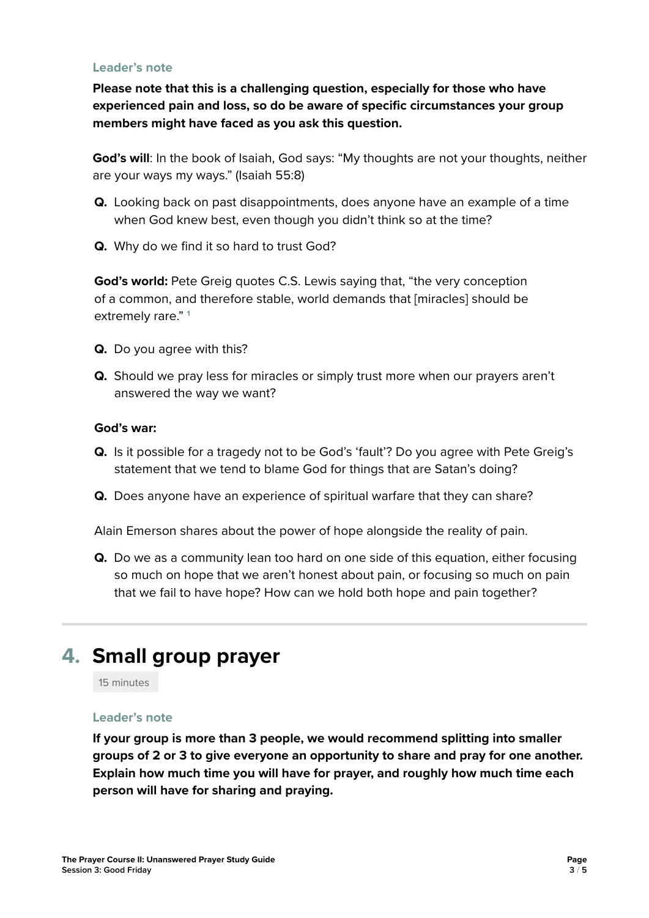#### **Leader's note**

**Please note that this is a challenging question, especially for those who have experienced pain and loss, so do be aware of specific circumstances your group members might have faced as you ask this question.**

**God's will**: In the book of Isaiah, God says: "My thoughts are not your thoughts, neither are your ways my ways." (Isaiah 55:8)

- **Q.** Looking back on past disappointments, does anyone have an example of a time when God knew best, even though you didn't think so at the time?
- **Q.** Why do we find it so hard to trust God?

**God's world:** Pete Greig quotes C.S. Lewis saying that, "the very conception of a common, and therefore stable, world demands that [miracles] should be extremely rare." **<sup>1</sup>**

- **Q.** Do you agree with this?
- **Q.** Should we pray less for miracles or simply trust more when our prayers aren't answered the way we want?

#### **God's war:**

- **Q.** Is it possible for a tragedy not to be God's 'fault'? Do you agree with Pete Greig's statement that we tend to blame God for things that are Satan's doing?
- **Q.** Does anyone have an experience of spiritual warfare that they can share?

Alain Emerson shares about the power of hope alongside the reality of pain.

**Q.** Do we as a community lean too hard on one side of this equation, either focusing so much on hope that we aren't honest about pain, or focusing so much on pain that we fail to have hope? How can we hold both hope and pain together?

## **4. Small group prayer**

15 minutes

#### **Leader's note**

**If your group is more than 3 people, we would recommend splitting into smaller groups of 2 or 3 to give everyone an opportunity to share and pray for one another. Explain how much time you will have for prayer, and roughly how much time each person will have for sharing and praying.**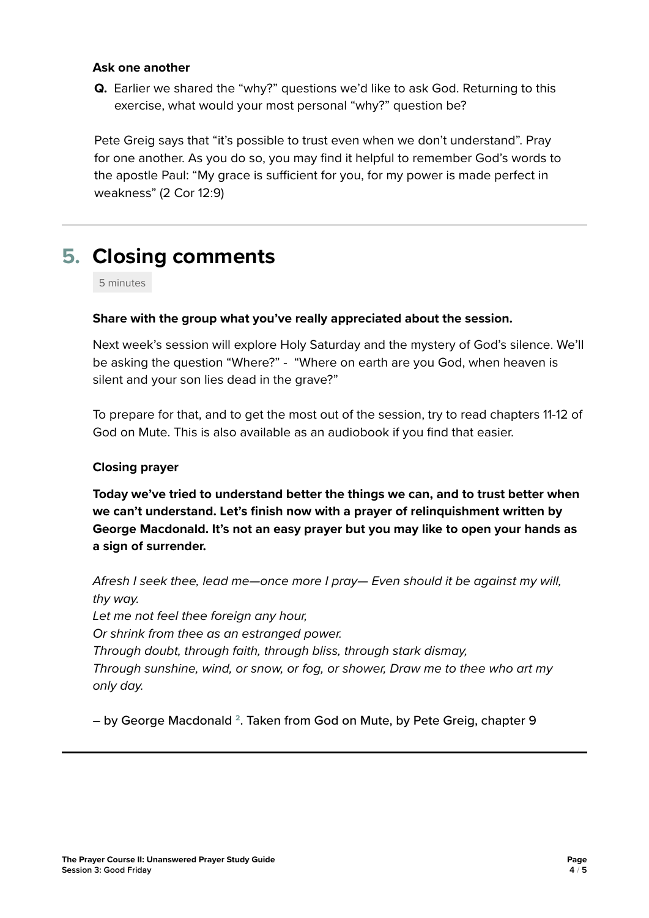#### **Ask one another**

**Q.** Earlier we shared the "why?" questions we'd like to ask God. Returning to this exercise, what would your most personal "why?" question be?

Pete Greig says that "it's possible to trust even when we don't understand". Pray for one another. As you do so, you may find it helpful to remember God's words to the apostle Paul: "My grace is sufficient for you, for my power is made perfect in weakness" (2 Cor 12:9)

# **5. Closing comments**

5 minutes

#### **Share with the group what you've really appreciated about the session.**

Next week's session will explore Holy Saturday and the mystery of God's silence. We'll be asking the question "Where?" - "Where on earth are you God, when heaven is silent and your son lies dead in the grave?"

To prepare for that, and to get the most out of the session, try to read chapters 11-12 of God on Mute. This is also available as an audiobook if you find that easier.

### **Closing prayer**

**Today we've tried to understand better the things we can, and to trust better when we can't understand. Let's finish now with a prayer of relinquishment written by George Macdonald. It's not an easy prayer but you may like to open your hands as a sign of surrender.**

*Afresh I seek thee, lead me—once more I pray— Even should it be against my will, thy way. Let me not feel thee foreign any hour, Or shrink from thee as an estranged power. Through doubt, through faith, through bliss, through stark dismay, Through sunshine, wind, or snow, or fog, or shower, Draw me to thee who art my only day.* 

– by George Macdonald **2**. Taken from God on Mute, by Pete Greig, chapter 9